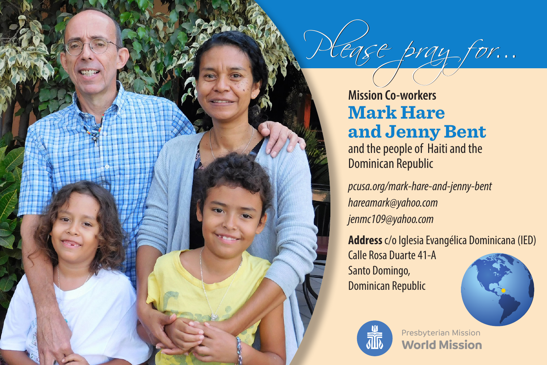

lease pray for...

Dominican Republic

*pcusa.org/mark-hare-and-jenny-bent hareamark@yahoo.com jenmc109@yahoo.com*

**Address** c/o Iglesia Evangélica Dominicana (IED)

Calle Rosa Duarte 41-A Santo Domingo, Dominican Republic





**World Mission** Presbyterian Mission